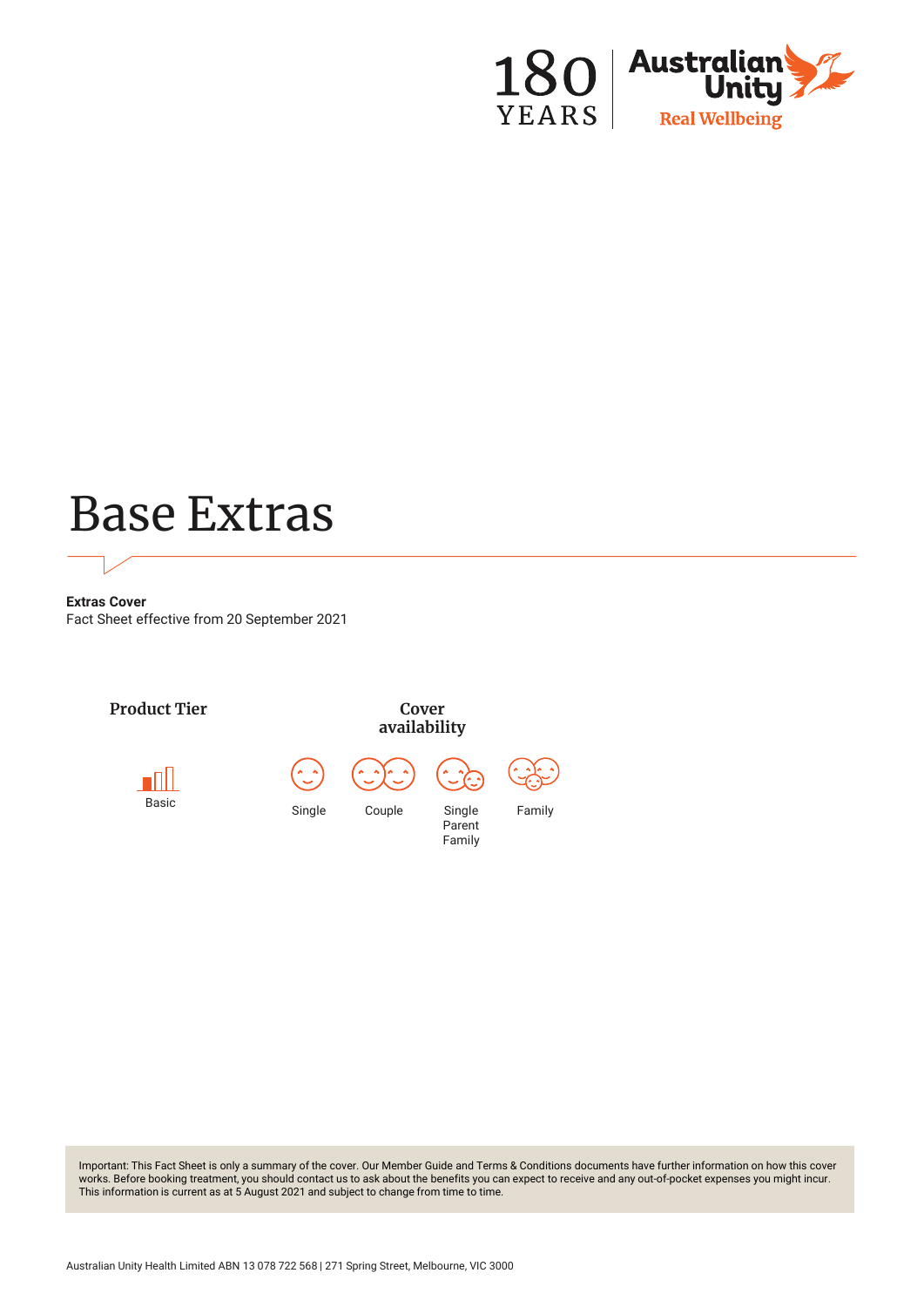

# Base Extras

**Extras Cover** Fact Sheet effective from 20 September 2021



Important: This Fact Sheet is only a summary of the cover. Our Member Guide and Terms & Conditions documents have further information on how this cover works. Before booking treatment, you should contact us to ask about the benefits you can expect to receive and any out-of-pocket expenses you might incur. This information is current as at 5 August 2021 and subject to change from time to time.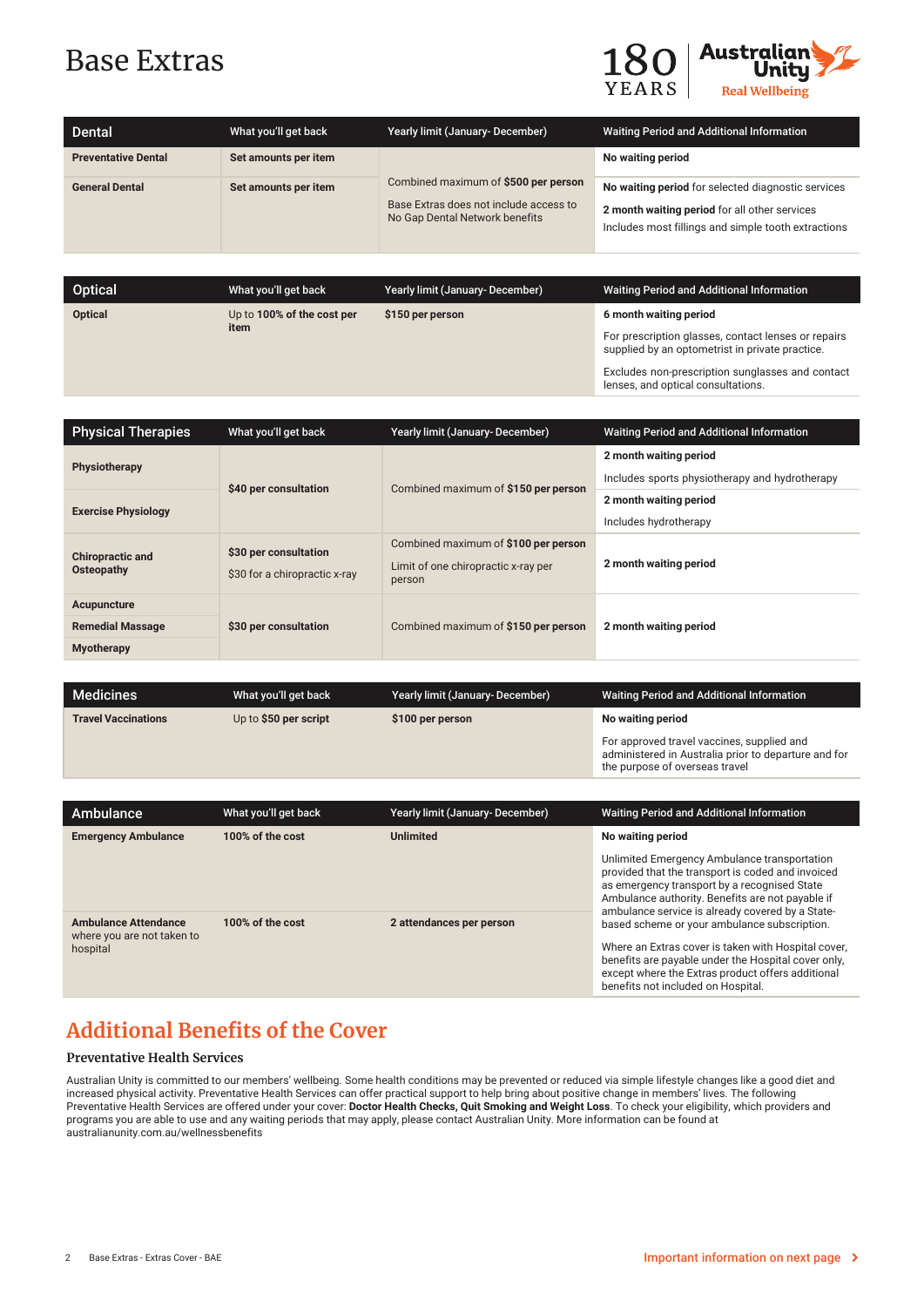## Base Extras



lenses, and optical consultations.

| <b>Dental</b>              | What you'll get back | Yearly limit (January-December)                                                                                  | <b>Waiting Period and Additional Information</b>                                                                                                           |
|----------------------------|----------------------|------------------------------------------------------------------------------------------------------------------|------------------------------------------------------------------------------------------------------------------------------------------------------------|
| <b>Preventative Dental</b> | Set amounts per item |                                                                                                                  | No waiting period                                                                                                                                          |
| <b>General Dental</b>      | Set amounts per item | Combined maximum of \$500 per person<br>Base Extras does not include access to<br>No Gap Dental Network benefits | No waiting period for selected diagnostic services<br>2 month waiting period for all other services<br>Includes most fillings and simple tooth extractions |

| Optical        | What you'll get back       | Yearly limit (January- December) | <b>Waiting Period and Additional Information</b>                                                       |
|----------------|----------------------------|----------------------------------|--------------------------------------------------------------------------------------------------------|
| <b>Optical</b> | Up to 100% of the cost per | \$150 per person                 | 6 month waiting period                                                                                 |
|                | item                       |                                  | For prescription glasses, contact lenses or repairs<br>supplied by an optometrist in private practice. |
|                |                            |                                  | Excludes non-prescription sunglasses and contact                                                       |

| <b>Physical Therapies</b>                                   | What you'll get back                                   | Yearly limit (January-December)                                                       | <b>Waiting Period and Additional Information</b>                         |
|-------------------------------------------------------------|--------------------------------------------------------|---------------------------------------------------------------------------------------|--------------------------------------------------------------------------|
| Physiotherapy                                               | \$40 per consultation                                  | Combined maximum of \$150 per person                                                  | 2 month waiting period<br>Includes sports physiotherapy and hydrotherapy |
| <b>Exercise Physiology</b>                                  |                                                        |                                                                                       | 2 month waiting period<br>Includes hydrotherapy                          |
| <b>Chiropractic and</b><br>Osteopathy                       | \$30 per consultation<br>\$30 for a chiropractic x-ray | Combined maximum of \$100 per person<br>Limit of one chiropractic x-ray per<br>person | 2 month waiting period                                                   |
| Acupuncture<br><b>Remedial Massage</b><br><b>Myotherapy</b> | \$30 per consultation                                  | Combined maximum of \$150 per person                                                  | 2 month waiting period                                                   |

| Medicines                  | What you'll get back  | <b>Yearly limit (January-December)</b> | <b>Waiting Period and Additional Information</b>                                                                                     |
|----------------------------|-----------------------|----------------------------------------|--------------------------------------------------------------------------------------------------------------------------------------|
| <b>Travel Vaccinations</b> | Up to \$50 per script | \$100 per person                       | No waiting period                                                                                                                    |
|                            |                       |                                        | For approved travel vaccines, supplied and<br>administered in Australia prior to departure and for<br>the purpose of overseas travel |

| Ambulance                                                 | What you'll get back | Yearly limit (January-December) | <b>Waiting Period and Additional Information</b>                                                                                                                                                                                                          |
|-----------------------------------------------------------|----------------------|---------------------------------|-----------------------------------------------------------------------------------------------------------------------------------------------------------------------------------------------------------------------------------------------------------|
| <b>Emergency Ambulance</b>                                | 100% of the cost     | <b>Unlimited</b>                | No waiting period                                                                                                                                                                                                                                         |
|                                                           |                      |                                 | Unlimited Emergency Ambulance transportation<br>provided that the transport is coded and invoiced<br>as emergency transport by a recognised State<br>Ambulance authority. Benefits are not payable if<br>ambulance service is already covered by a State- |
| <b>Ambulance Attendance</b><br>where you are not taken to | 100% of the cost     | 2 attendances per person        | based scheme or your ambulance subscription.                                                                                                                                                                                                              |
| hospital                                                  |                      |                                 | Where an Extras cover is taken with Hospital cover.<br>benefits are payable under the Hospital cover only,<br>except where the Extras product offers additional<br>benefits not included on Hospital.                                                     |

### **Additional Benefits of the Cover**

#### **Preventative Health Services**

Australian Unity is committed to our members' wellbeing. Some health conditions may be prevented or reduced via simple lifestyle changes like a good diet and increased physical activity. Preventative Health Services can offer practical support to help bring about positive change in members' lives. The following Preventative Health Services are offered under your cover: **Doctor Health Checks, Quit Smoking and Weight Loss**. To check your eligibility, which providers and programs you are able to use and any waiting periods that may apply, please contact Australian Unity. More information can be found at australianunity.com.au/wellnessbenefits